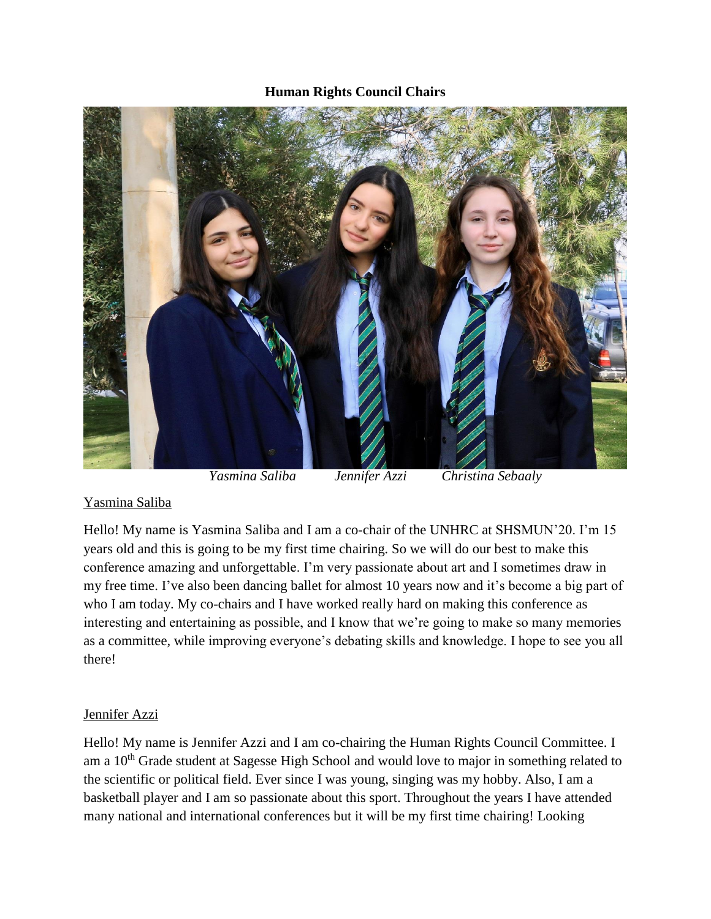## **Human Rights Council Chairs**



## Yasmina Saliba

Hello! My name is Yasmina Saliba and I am a co-chair of the UNHRC at SHSMUN'20. I'm 15 years old and this is going to be my first time chairing. So we will do our best to make this conference amazing and unforgettable. I'm very passionate about art and I sometimes draw in my free time. I've also been dancing ballet for almost 10 years now and it's become a big part of who I am today. My co-chairs and I have worked really hard on making this conference as interesting and entertaining as possible, and I know that we're going to make so many memories as a committee, while improving everyone's debating skills and knowledge. I hope to see you all there!

## Jennifer Azzi

Hello! My name is Jennifer Azzi and I am co-chairing the Human Rights Council Committee. I am a 10<sup>th</sup> Grade student at Sagesse High School and would love to major in something related to the scientific or political field. Ever since I was young, singing was my hobby. Also, I am a basketball player and I am so passionate about this sport. Throughout the years I have attended many national and international conferences but it will be my first time chairing! Looking